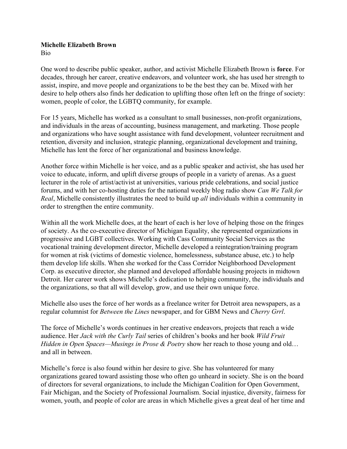## **Michelle Elizabeth Brown**

Bio

One word to describe public speaker, author, and activist Michelle Elizabeth Brown is **force**. For decades, through her career, creative endeavors, and volunteer work, she has used her strength to assist, inspire, and move people and organizations to be the best they can be. Mixed with her desire to help others also finds her dedication to uplifting those often left on the fringe of society: women, people of color, the LGBTQ community, for example.

For 15 years, Michelle has worked as a consultant to small businesses, non-profit organizations, and individuals in the areas of accounting, business management, and marketing. Those people and organizations who have sought assistance with fund development, volunteer recruitment and retention, diversity and inclusion, strategic planning, organizational development and training, Michelle has lent the force of her organizational and business knowledge.

Another force within Michelle is her voice, and as a public speaker and activist, she has used her voice to educate, inform, and uplift diverse groups of people in a variety of arenas. As a guest lecturer in the role of artist/activist at universities, various pride celebrations, and social justice forums, and with her co-hosting duties for the national weekly blog radio show *Can We Talk for Real*, Michelle consistently illustrates the need to build up *all* individuals within a community in order to strengthen the entire community.

Within all the work Michelle does, at the heart of each is her love of helping those on the fringes of society. As the co-executive director of Michigan Equality, she represented organizations in progressive and LGBT collectives. Working with Cass Community Social Services as the vocational training development director, Michelle developed a reintegration/training program for women at risk (victims of domestic violence, homelessness, substance abuse, etc.) to help them develop life skills. When she worked for the Cass Corridor Neighborhood Development Corp. as executive director, she planned and developed affordable housing projects in midtown Detroit. Her career work shows Michelle's dedication to helping community, the individuals and the organizations, so that all will develop, grow, and use their own unique force.

Michelle also uses the force of her words as a freelance writer for Detroit area newspapers, as a regular columnist for *Between the Lines* newspaper, and for GBM News and *Cherry Grrl*.

The force of Michelle's words continues in her creative endeavors, projects that reach a wide audience. Her *Jack with the Curly Tail* series of children's books and her book *Wild Fruit Hidden in Open Spaces—Musings in Prose & Poetry* show her reach to those young and old… and all in between.

Michelle's force is also found within her desire to give. She has volunteered for many organizations geared toward assisting those who often go unheard in society. She is on the board of directors for several organizations, to include the Michigan Coalition for Open Government, Fair Michigan, and the Society of Professional Journalism. Social injustice, diversity, fairness for women, youth, and people of color are areas in which Michelle gives a great deal of her time and